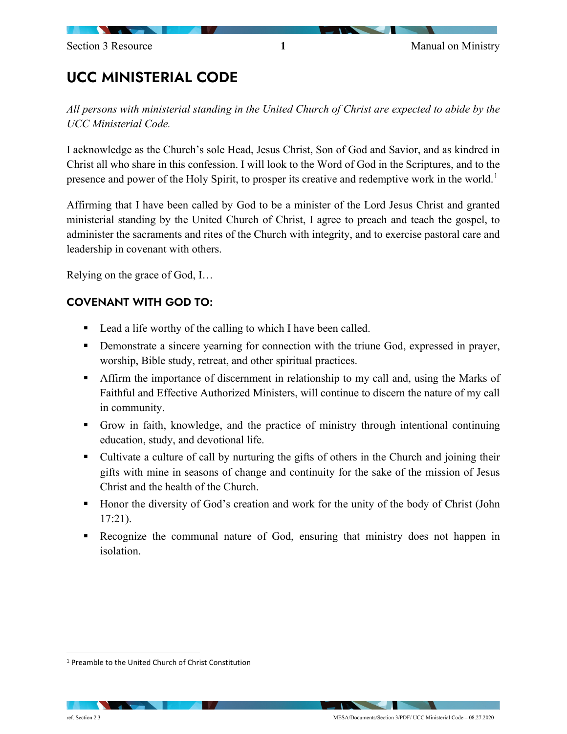# UCC MINISTERIAL CODE

*All persons with ministerial standing in the United Church of Christ are expected to abide by the UCC Ministerial Code.*

I acknowledge as the Church's sole Head, Jesus Christ, Son of God and Savior, and as kindred in Christ all who share in this confession. I will look to the Word of God in the Scriptures, and to the presence and power of the Holy Spirit, to prosper its creative and redemptive work in the world.[1](#page-0-0)

Affirming that I have been called by God to be a minister of the Lord Jesus Christ and granted ministerial standing by the United Church of Christ, I agree to preach and teach the gospel, to administer the sacraments and rites of the Church with integrity, and to exercise pastoral care and leadership in covenant with others.

Relying on the grace of God, I…

## COVENANT WITH GOD TO:

- Lead a life worthy of the calling to which I have been called.
- **•** Demonstrate a sincere yearning for connection with the triune God, expressed in prayer, worship, Bible study, retreat, and other spiritual practices.
- Affirm the importance of discernment in relationship to my call and, using the Marks of Faithful and Effective Authorized Ministers, will continue to discern the nature of my call in community.
- Grow in faith, knowledge, and the practice of ministry through intentional continuing education, study, and devotional life.
- Cultivate a culture of call by nurturing the gifts of others in the Church and joining their gifts with mine in seasons of change and continuity for the sake of the mission of Jesus Christ and the health of the Church.
- Honor the diversity of God's creation and work for the unity of the body of Christ (John 17:21).
- Recognize the communal nature of God, ensuring that ministry does not happen in isolation.

<span id="page-0-0"></span><sup>1</sup> Preamble to the United Church of Christ Constitution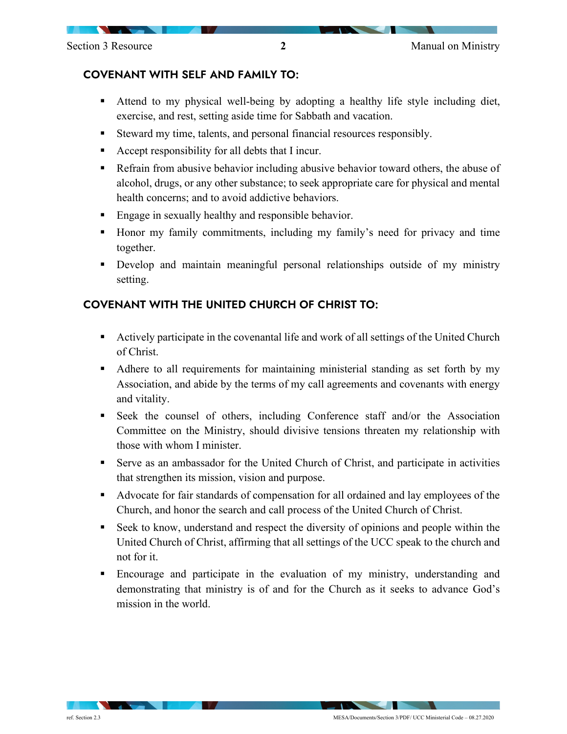#### COVENANT WITH SELF AND FAMILY TO:

- Attend to my physical well-being by adopting a healthy life style including diet, exercise, and rest, setting aside time for Sabbath and vacation.
- Steward my time, talents, and personal financial resources responsibly.
- Accept responsibility for all debts that I incur.
- Refrain from abusive behavior including abusive behavior toward others, the abuse of alcohol, drugs, or any other substance; to seek appropriate care for physical and mental health concerns; and to avoid addictive behaviors.
- **Engage in sexually healthy and responsible behavior.**
- Honor my family commitments, including my family's need for privacy and time together.
- Develop and maintain meaningful personal relationships outside of my ministry setting.

#### COVENANT WITH THE UNITED CHURCH OF CHRIST TO:

- Actively participate in the covenantal life and work of all settings of the United Church of Christ.
- Adhere to all requirements for maintaining ministerial standing as set forth by my Association, and abide by the terms of my call agreements and covenants with energy and vitality.
- Seek the counsel of others, including Conference staff and/or the Association Committee on the Ministry, should divisive tensions threaten my relationship with those with whom I minister.
- Serve as an ambassador for the United Church of Christ, and participate in activities that strengthen its mission, vision and purpose.
- Advocate for fair standards of compensation for all ordained and lay employees of the Church, and honor the search and call process of the United Church of Christ.
- Seek to know, understand and respect the diversity of opinions and people within the United Church of Christ, affirming that all settings of the UCC speak to the church and not for it.
- Encourage and participate in the evaluation of my ministry, understanding and demonstrating that ministry is of and for the Church as it seeks to advance God's mission in the world.